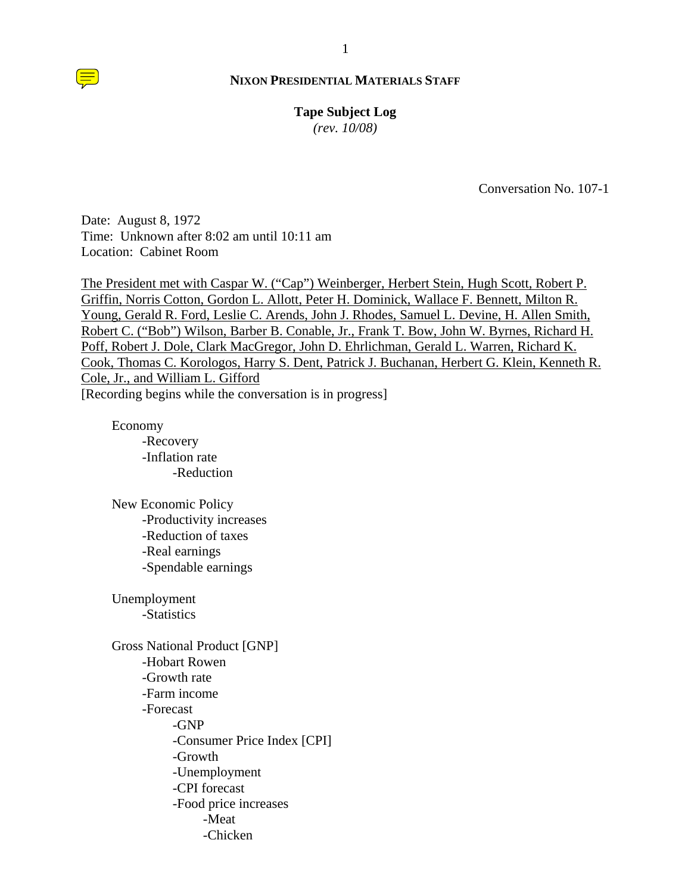# **Tape Subject Log**

*(rev. 10/08)*

Conversation No. 107-1

Date: August 8, 1972 Time: Unknown after 8:02 am until 10:11 am Location: Cabinet Room

The President met with Caspar W. ("Cap") Weinberger, Herbert Stein, Hugh Scott, Robert P. Griffin, Norris Cotton, Gordon L. Allott, Peter H. Dominick, Wallace F. Bennett, Milton R. Young, Gerald R. Ford, Leslie C. Arends, John J. Rhodes, Samuel L. Devine, H. Allen Smith, Robert C. ("Bob") Wilson, Barber B. Conable, Jr., Frank T. Bow, John W. Byrnes, Richard H. Poff, Robert J. Dole, Clark MacGregor, John D. Ehrlichman, Gerald L. Warren, Richard K. Cook, Thomas C. Korologos, Harry S. Dent, Patrick J. Buchanan, Herbert G. Klein, Kenneth R. Cole, Jr., and William L. Gifford [Recording begins while the conversation is in progress]

 Economy -Recovery -Inflation rate -Reduction

 New Economic Policy -Productivity increases -Reduction of taxes -Real earnings -Spendable earnings

 Unemployment -Statistics

 Gross National Product [GNP] -Hobart Rowen -Growth rate -Farm income -Forecast -GNP -Consumer Price Index [CPI] -Growth -Unemployment -CPI forecast -Food price increases -Meat -Chicken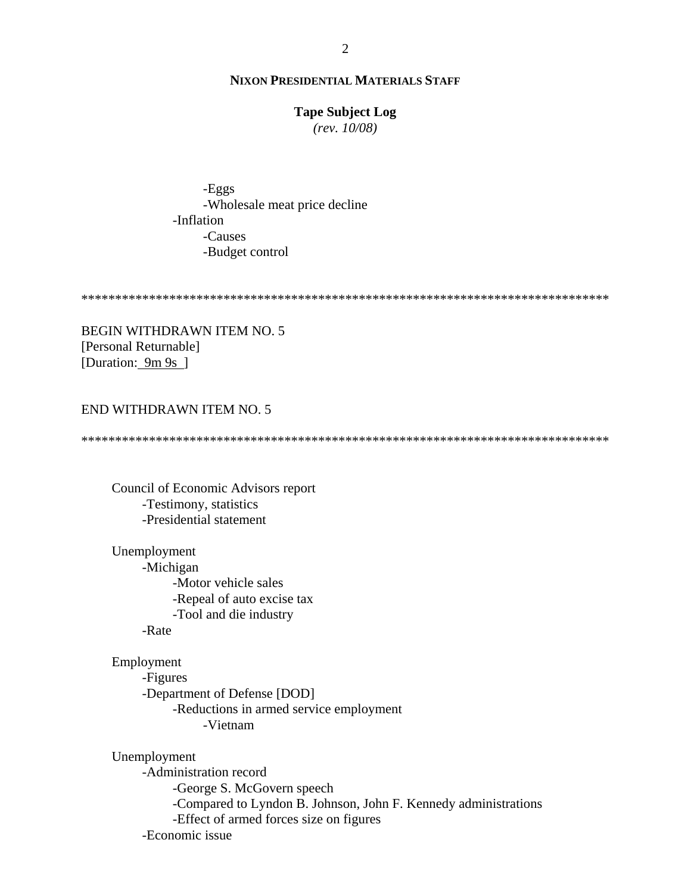### **Tape Subject Log**

 $(rev. 10/08)$ 

-Eggs -Wholesale meat price decline -Inflation -Causes -Budget control

**BEGIN WITHDRAWN ITEM NO. 5** [Personal Returnable] [Duration: 9m 9s ]

# END WITHDRAWN ITEM NO. 5

Council of Economic Advisors report -Testimony, statistics -Presidential statement

Unemployment -Michigan -Motor vehicle sales -Repeal of auto excise tax -Tool and die industry

-Rate

Employment -Figures -Department of Defense [DOD] -Reductions in armed service employment -Vietnam

Unemployment -Administration record -George S. McGovern speech -Compared to Lyndon B. Johnson, John F. Kennedy administrations -Effect of armed forces size on figures -Economic issue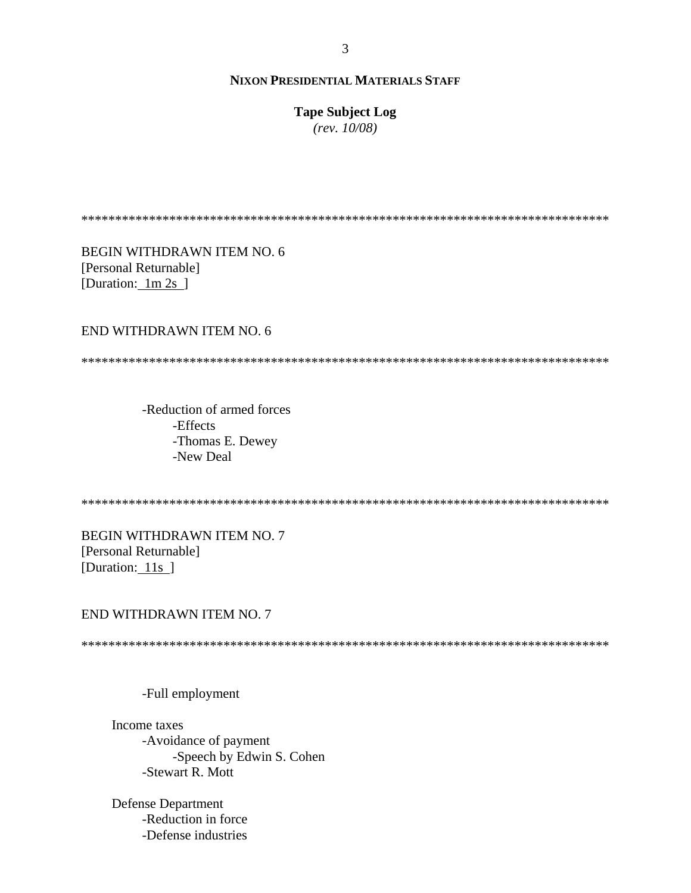**Tape Subject Log** 

 $(rev. 10/08)$ 

**BEGIN WITHDRAWN ITEM NO. 6** [Personal Returnable] [Duration:  $1m 2s$ ]

# END WITHDRAWN ITEM NO. 6

-Reduction of armed forces -Effects -Thomas E. Dewey -New Deal

**BEGIN WITHDRAWN ITEM NO. 7** [Personal Returnable] [Duration:  $11s$ ]

### END WITHDRAWN ITEM NO. 7

### -Full employment

Income taxes -Avoidance of payment -Speech by Edwin S. Cohen -Stewart R. Mott

**Defense Department** -Reduction in force -Defense industries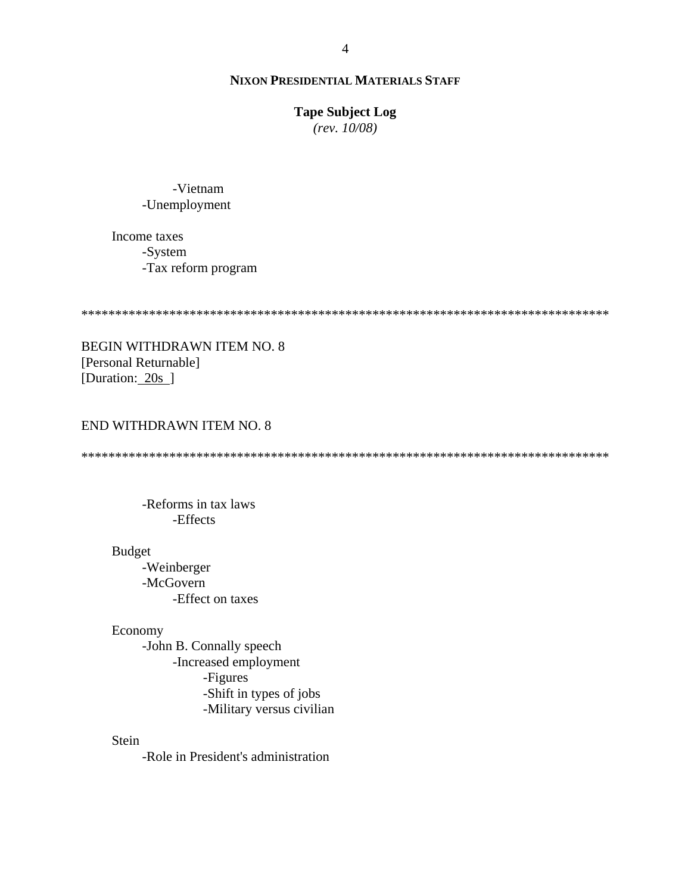### **Tape Subject Log**

 $(rev. 10/08)$ 

-Vietnam -Unemployment

Income taxes -System -Tax reform program

BEGIN WITHDRAWN ITEM NO. 8 [Personal Returnable] [Duration: 20s ]

# **END WITHDRAWN ITEM NO. 8**

-Reforms in tax laws -Effects

### **Budget**

-Weinberger -McGovern -Effect on taxes

Economy

-John B. Connally speech -Increased employment -Figures -Shift in types of jobs -Military versus civilian

Stein

-Role in President's administration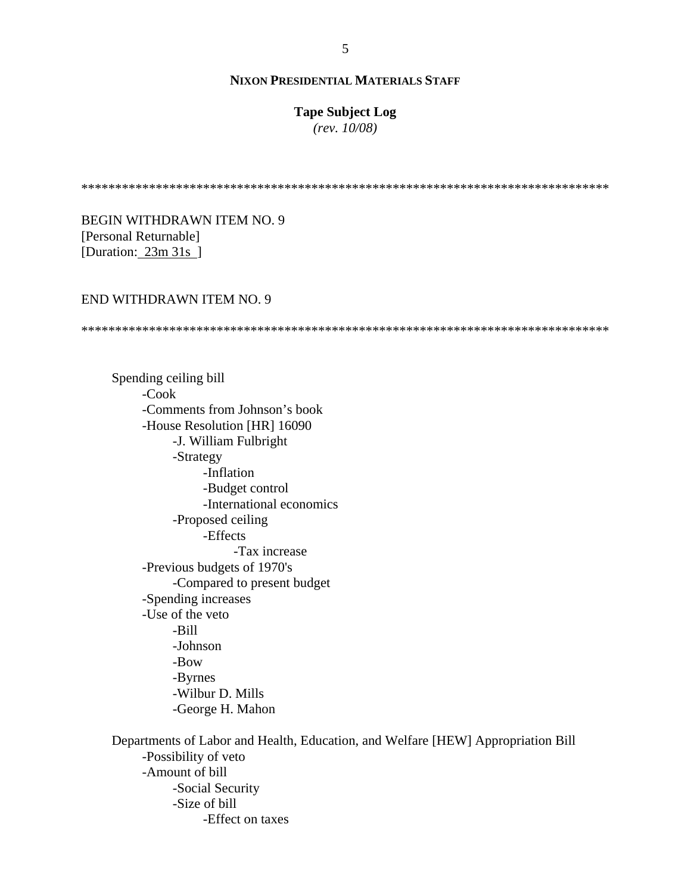# **Tape Subject Log**

*(rev. 10/08)*

\*\*\*\*\*\*\*\*\*\*\*\*\*\*\*\*\*\*\*\*\*\*\*\*\*\*\*\*\*\*\*\*\*\*\*\*\*\*\*\*\*\*\*\*\*\*\*\*\*\*\*\*\*\*\*\*\*\*\*\*\*\*\*\*\*\*\*\*\*\*\*\*\*\*\*\*\*\*

BEGIN WITHDRAWN ITEM NO. 9 [Personal Returnable] [Duration: 23m 31s ]

# END WITHDRAWN ITEM NO. 9

\*\*\*\*\*\*\*\*\*\*\*\*\*\*\*\*\*\*\*\*\*\*\*\*\*\*\*\*\*\*\*\*\*\*\*\*\*\*\*\*\*\*\*\*\*\*\*\*\*\*\*\*\*\*\*\*\*\*\*\*\*\*\*\*\*\*\*\*\*\*\*\*\*\*\*\*\*\*

 Spending ceiling bill -Cook -Comments from Johnson's book -House Resolution [HR] 16090 -J. William Fulbright -Strategy -Inflation -Budget control -International economics -Proposed ceiling -Effects -Tax increase -Previous budgets of 1970's -Compared to present budget -Spending increases -Use of the veto -Bill -Johnson -Bow -Byrnes -Wilbur D. Mills -George H. Mahon

 Departments of Labor and Health, Education, and Welfare [HEW] Appropriation Bill -Possibility of veto -Amount of bill -Social Security -Size of bill -Effect on taxes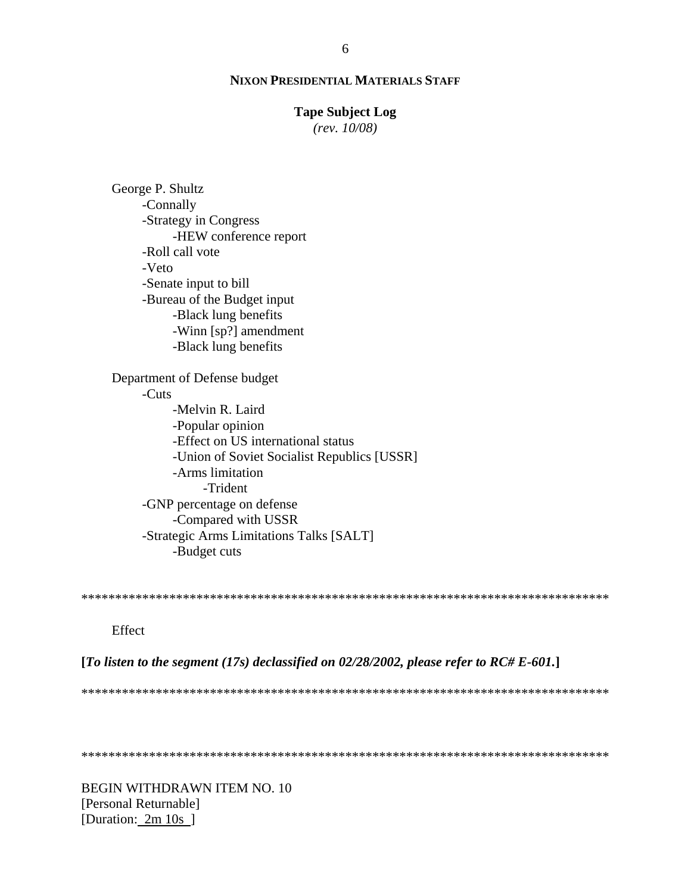### **Tape Subject Log**

 $(rev. 10/08)$ 

George P. Shultz -Connally -Strategy in Congress -HEW conference report -Roll call vote -Veto -Senate input to bill -Bureau of the Budget input -Black lung benefits -Winn [sp?] amendment -Black lung benefits Department of Defense budget  $-Cuts$ -Melvin R. Laird -Popular opinion -Effect on US international status -Union of Soviet Socialist Republics [USSR] -Arms limitation -Trident -GNP percentage on defense -Compared with USSR -Strategic Arms Limitations Talks [SALT] -Budget cuts

Effect

[To listen to the segment (17s) declassified on 02/28/2002, please refer to RC# E-601.]

BEGIN WITHDRAWN ITEM NO. 10 [Personal Returnable] [Duration: 2m 10s ]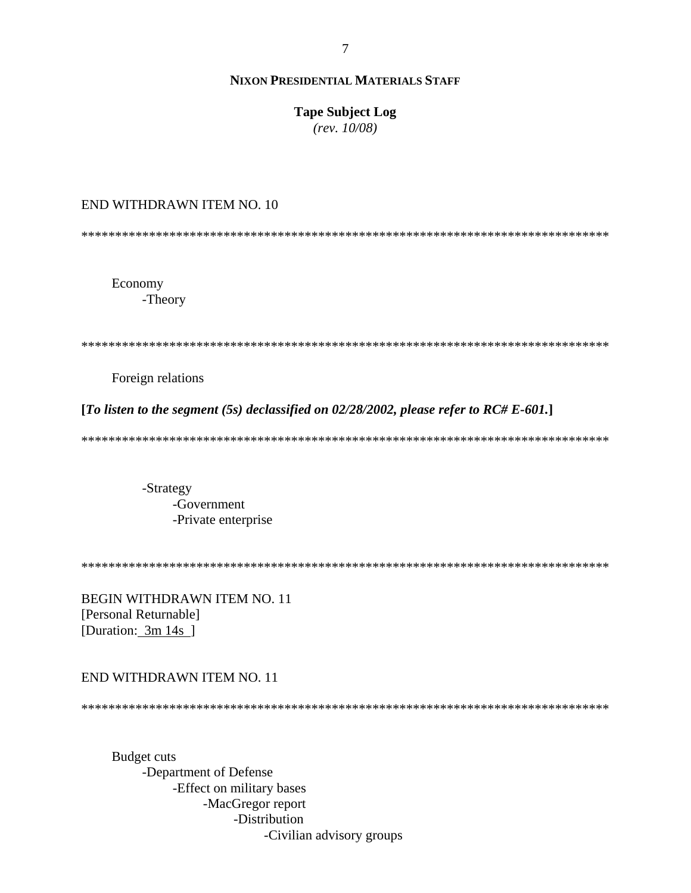# **Tape Subject Log**

 $(rev. 10/08)$ 

# END WITHDRAWN ITEM NO. 10

Economy -Theory

Foreign relations

[To listen to the segment (5s) declassified on  $02/28/2002$ , please refer to RC# E-601.]

-Strategy -Government -Private enterprise

**BEGIN WITHDRAWN ITEM NO. 11** [Personal Returnable] [Duration: 3m 14s ]

# END WITHDRAWN ITEM NO. 11

**Budget cuts** -Department of Defense -Effect on military bases -MacGregor report -Distribution -Civilian advisory groups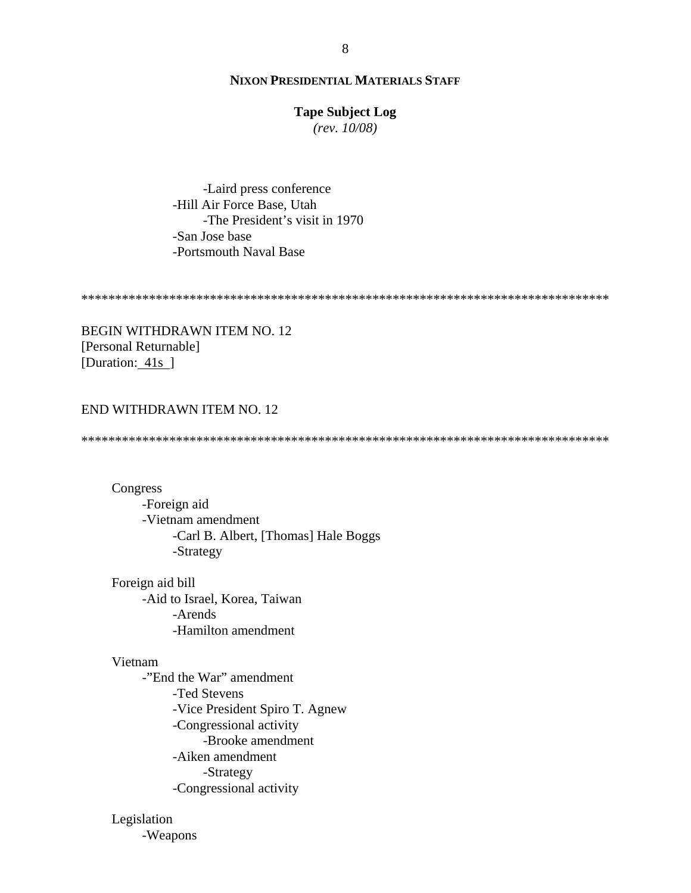# **Tape Subject Log**

 $(rev. 10/08)$ 

-Laird press conference -Hill Air Force Base, Utah -The President's visit in 1970 -San Jose base -Portsmouth Naval Base

**BEGIN WITHDRAWN ITEM NO. 12** [Personal Returnable] [Duration: 41s]

# END WITHDRAWN ITEM NO. 12

Congress -Foreign aid -Vietnam amendment -Carl B. Albert, [Thomas] Hale Boggs -Strategy

Foreign aid bill -Aid to Israel, Korea, Taiwan -Arends -Hamilton amendment

#### Vietnam

-"End the War" amendment -Ted Stevens -Vice President Spiro T. Agnew -Congressional activity -Brooke amendment -Aiken amendment -Strategy -Congressional activity

# Legislation

-Weapons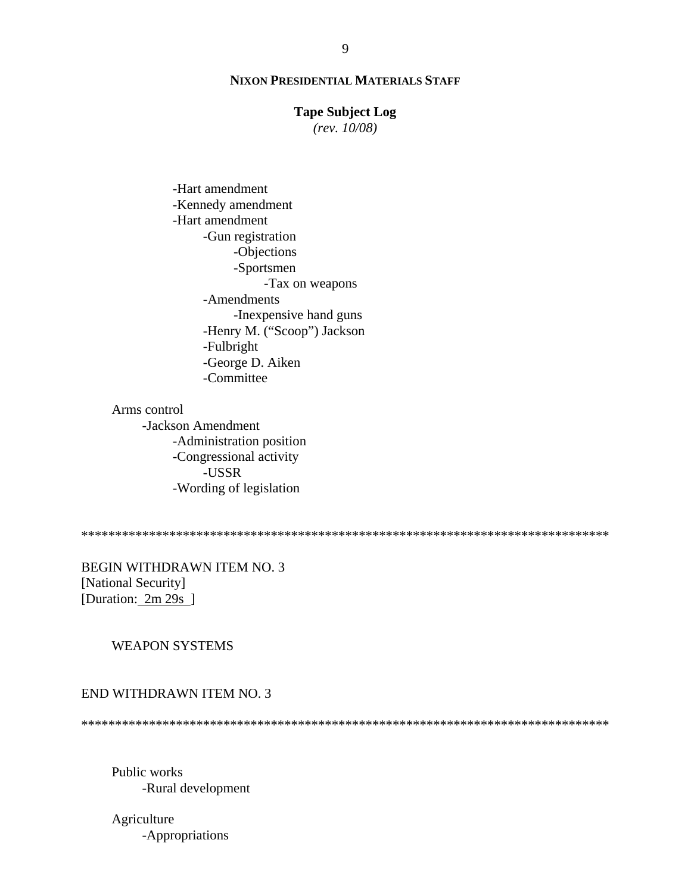### **Tape Subject Log**

 $(rev. 10/08)$ 

-Hart amendment -Kennedy amendment -Hart amendment -Gun registration -Objections -Sportsmen -Tax on weapons -Amendments -Inexpensive hand guns -Henry M. ("Scoop") Jackson -Fulbright -George D. Aiken -Committee

# Arms control

-Jackson Amendment -Administration position -Congressional activity -USSR -Wording of legislation

**BEGIN WITHDRAWN ITEM NO. 3** [National Security] [Duration:  $2m 29s$ ]

# **WEAPON SYSTEMS**

### END WITHDRAWN ITEM NO. 3

Public works -Rural development

Agriculture -Appropriations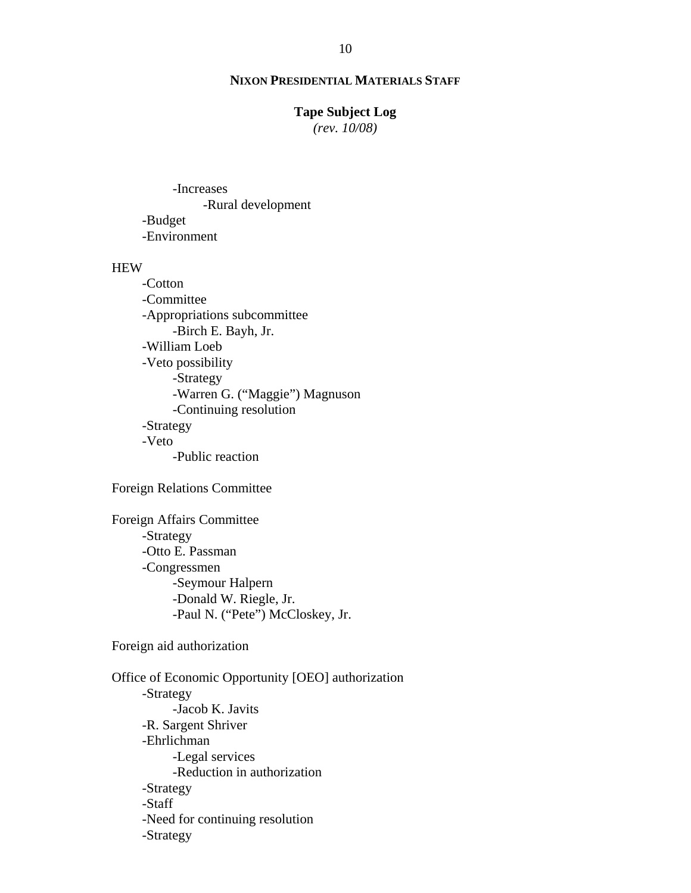# **Tape Subject Log**

*(rev. 10/08)*

 -Increases -Rural development -Budget -Environment

# HEW

 -Cotton -Committee -Appropriations subcommittee -Birch E. Bayh, Jr. -William Loeb -Veto possibility -Strategy -Warren G. ("Maggie") Magnuson -Continuing resolution -Strategy -Veto -Public reaction

Foreign Relations Committee

 Foreign Affairs Committee -Strategy -Otto E. Passman -Congressmen -Seymour Halpern -Donald W. Riegle, Jr. -Paul N. ("Pete") McCloskey, Jr.

Foreign aid authorization

 Office of Economic Opportunity [OEO] authorization -Strategy -Jacob K. Javits -R. Sargent Shriver -Ehrlichman -Legal services -Reduction in authorization -Strategy -Staff -Need for continuing resolution -Strategy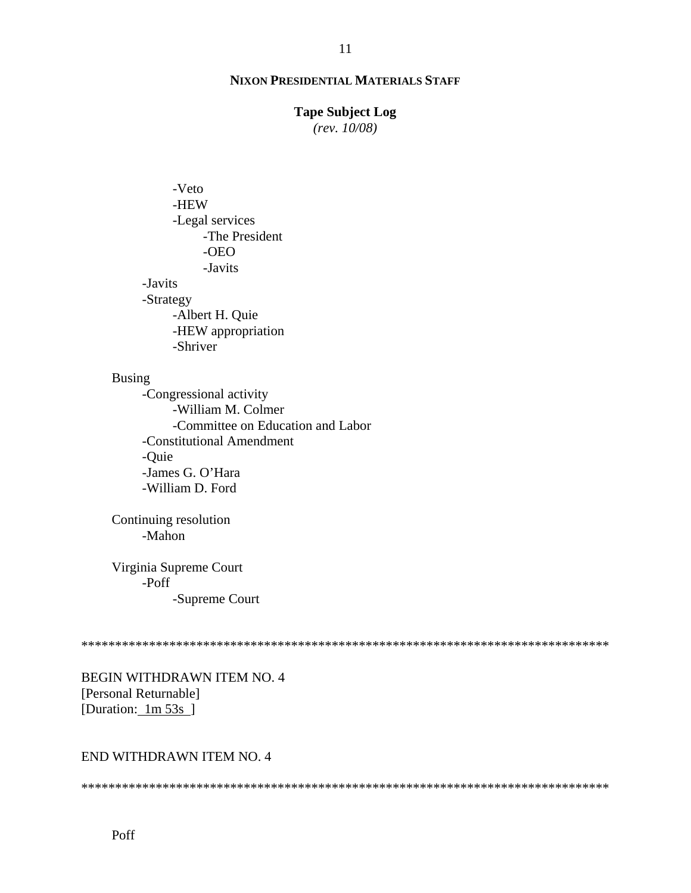# **Tape Subject Log**

 $(rev. 10/08)$ 

-Veto -HEW -Legal services -The President  $-OEO$ -Javits -Javits -Strategy -Albert H. Quie -HEW appropriation -Shriver

# **Busing**

-Congressional activity -William M. Colmer -Committee on Education and Labor -Constitutional Amendment -Quie -James G. O'Hara -William D. Ford

Continuing resolution -Mahon

Virginia Supreme Court -Poff -Supreme Court

BEGIN WITHDRAWN ITEM NO. 4 [Personal Returnable] [Duration:  $1m\,53s$ ]

# END WITHDRAWN ITEM NO. 4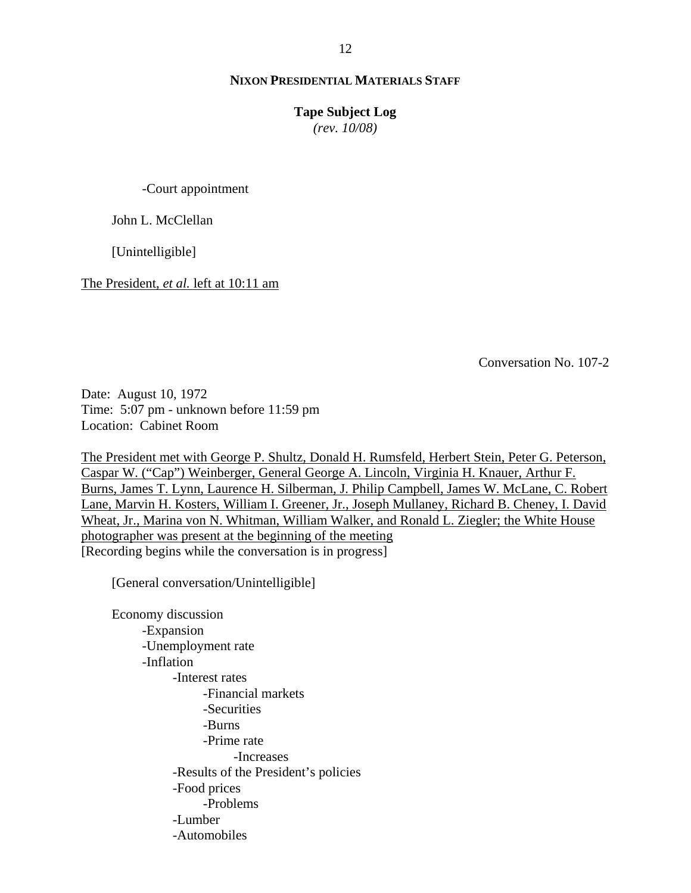#### **Tape Subject Log**

*(rev. 10/08)*

-Court appointment

John L. McClellan

[Unintelligible]

The President, *et al.* left at 10:11 am

Conversation No. 107-2

Date: August 10, 1972 Time: 5:07 pm - unknown before 11:59 pm Location: Cabinet Room

The President met with George P. Shultz, Donald H. Rumsfeld, Herbert Stein, Peter G. Peterson, Caspar W. ("Cap") Weinberger, General George A. Lincoln, Virginia H. Knauer, Arthur F. Burns, James T. Lynn, Laurence H. Silberman, J. Philip Campbell, James W. McLane, C. Robert Lane, Marvin H. Kosters, William I. Greener, Jr., Joseph Mullaney, Richard B. Cheney, I. David Wheat, Jr., Marina von N. Whitman, William Walker, and Ronald L. Ziegler; the White House photographer was present at the beginning of the meeting [Recording begins while the conversation is in progress]

[General conversation/Unintelligible]

 Economy discussion -Expansion -Unemployment rate -Inflation -Interest rates -Financial markets -Securities -Burns -Prime rate -Increases -Results of the President's policies -Food prices -Problems -Lumber -Automobiles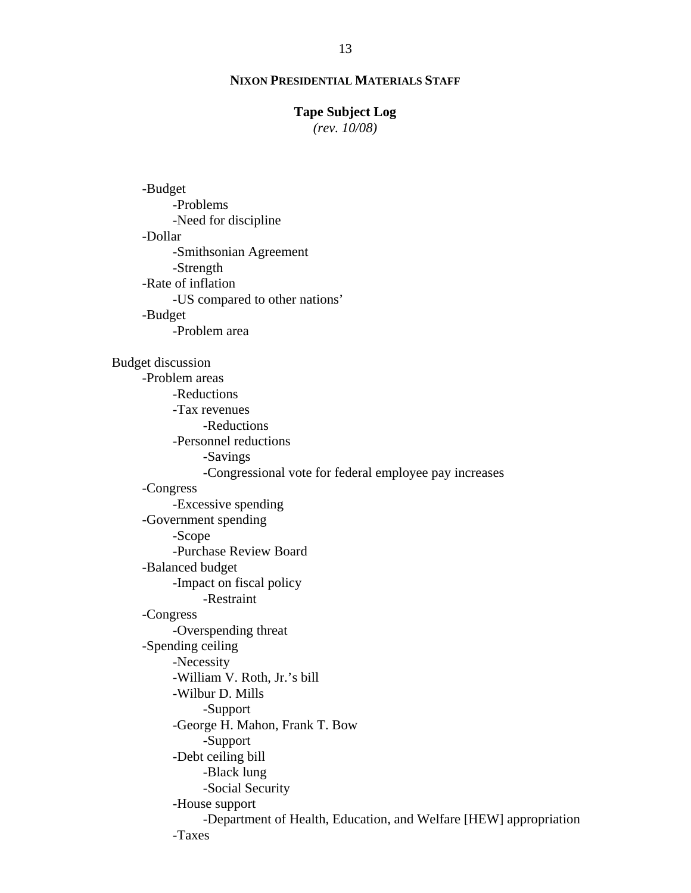### **Tape Subject Log**

*(rev. 10/08)*

 -Budget -Problems -Need for discipline -Dollar -Smithsonian Agreement -Strength -Rate of inflation -US compared to other nations' -Budget -Problem area Budget discussion -Problem areas -Reductions -Tax revenues -Reductions -Personnel reductions -Savings -Congressional vote for federal employee pay increases -Congress -Excessive spending -Government spending -Scope -Purchase Review Board -Balanced budget -Impact on fiscal policy -Restraint -Congress -Overspending threat -Spending ceiling -Necessity -William V. Roth, Jr.'s bill -Wilbur D. Mills -Support -George H. Mahon, Frank T. Bow -Support -Debt ceiling bill -Black lung -Social Security -House support -Department of Health, Education, and Welfare [HEW] appropriation -Taxes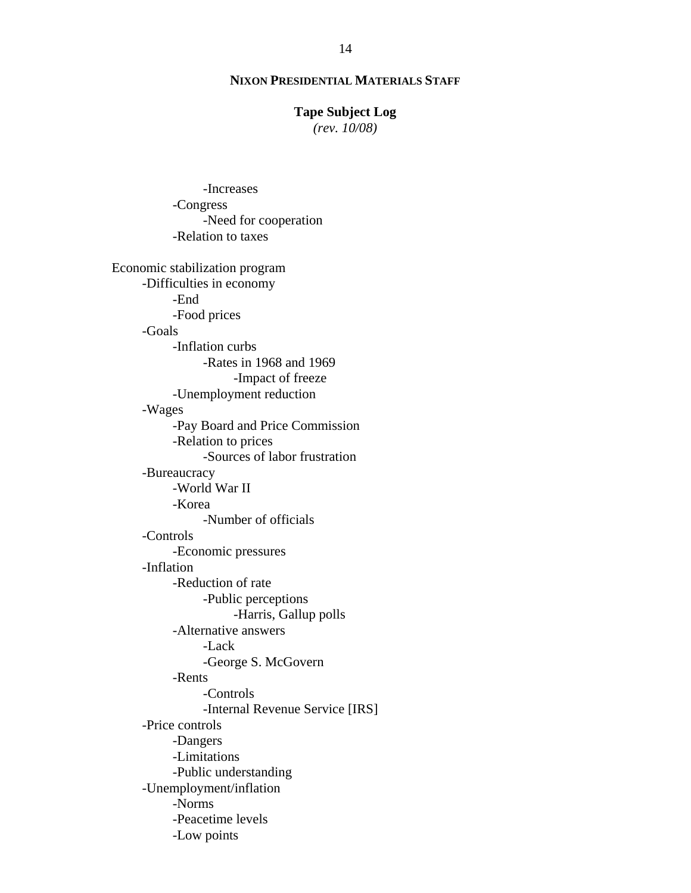# **Tape Subject Log**

*(rev. 10/08)*

 -Congress -Need for cooperation -Relation to taxes Economic stabilization program -Difficulties in economy -End -Food prices -Goals -Inflation curbs -Rates in 1968 and 1969 -Impact of freeze -Unemployment reduction -Wages -Pay Board and Price Commission -Relation to prices -Sources of labor frustration -Bureaucracy -World War II -Korea -Number of officials -Controls -Economic pressures -Inflation -Reduction of rate -Public perceptions -Harris, Gallup polls -Alternative answers -Lack -George S. McGovern -Rents -Controls -Internal Revenue Service [IRS] -Price controls -Dangers -Limitations -Public understanding -Unemployment/inflation -Norms -Peacetime levels -Low points

-Increases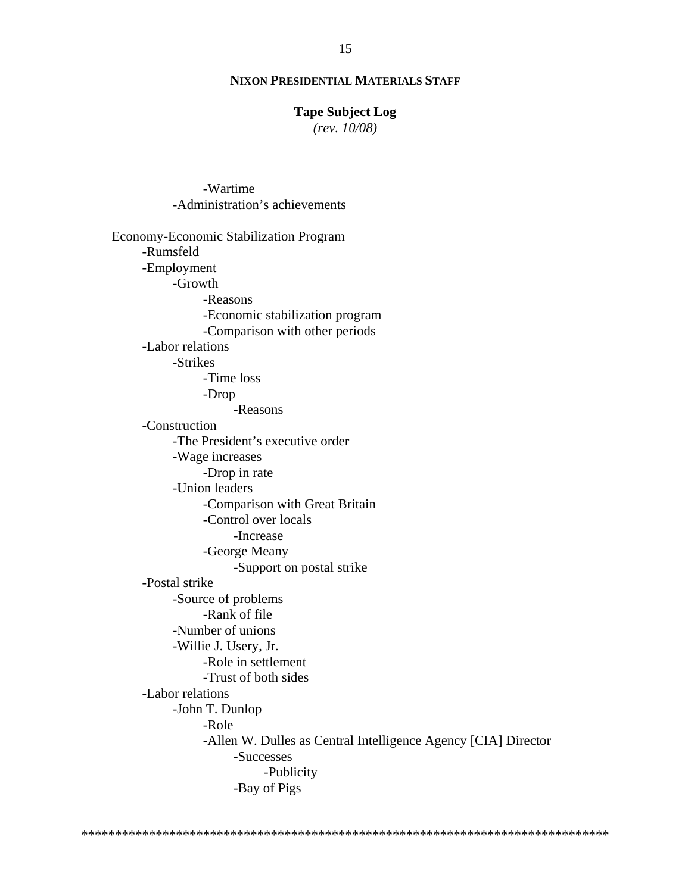# **Tape Subject Log**

 $(rev. 10/08)$ 

-Wartime

-Administration's achievements Economy-Economic Stabilization Program -Rumsfeld -Employment -Growth -Reasons -Economic stabilization program -Comparison with other periods -Labor relations -Strikes -Time loss -Drop -Reasons -Construction -The President's executive order -Wage increases -Drop in rate -Union leaders -Comparison with Great Britain -Control over locals -Increase -George Meany -Support on postal strike -Postal strike -Source of problems -Rank of file -Number of unions -Willie J. Usery, Jr. -Role in settlement -Trust of both sides -Labor relations -John T. Dunlop -Role -Allen W. Dulles as Central Intelligence Agency [CIA] Director -Successes -Publicity -Bay of Pigs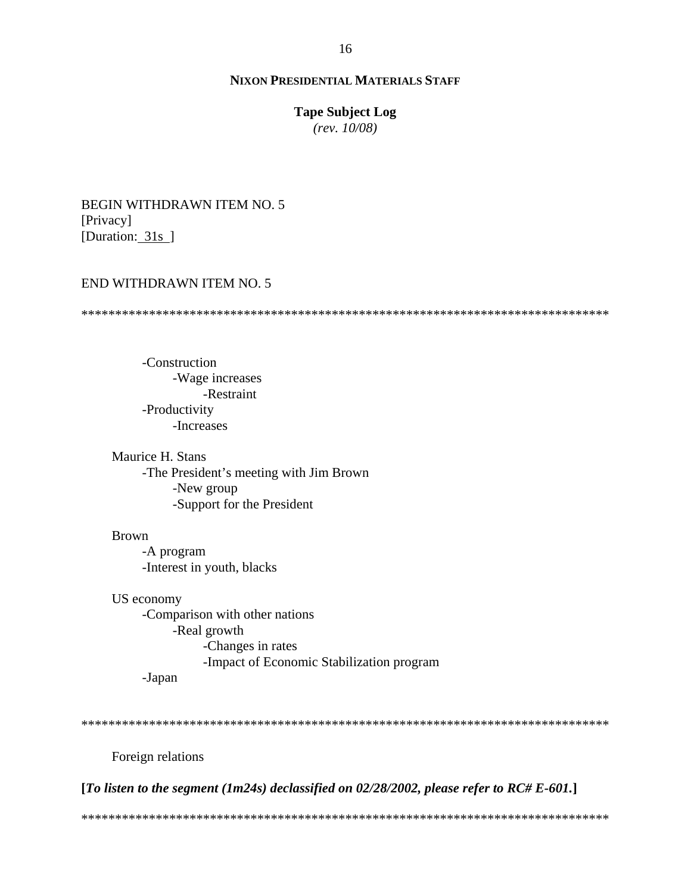# **Tape Subject Log**

 $(rev. 10/08)$ 

**BEGIN WITHDRAWN ITEM NO. 5** [Privacy] [Duration: 31s]

### END WITHDRAWN ITEM NO. 5

-Construction -Wage increases -Restraint -Productivity -Increases

Maurice H. Stans -The President's meeting with Jim Brown -New group -Support for the President

**Brown** -A program -Interest in youth, blacks

US economy -Comparison with other nations -Real growth -Changes in rates -Impact of Economic Stabilization program -Japan

Foreign relations

[To listen to the segment (1m24s) declassified on 02/28/2002, please refer to  $RC#E-601$ .]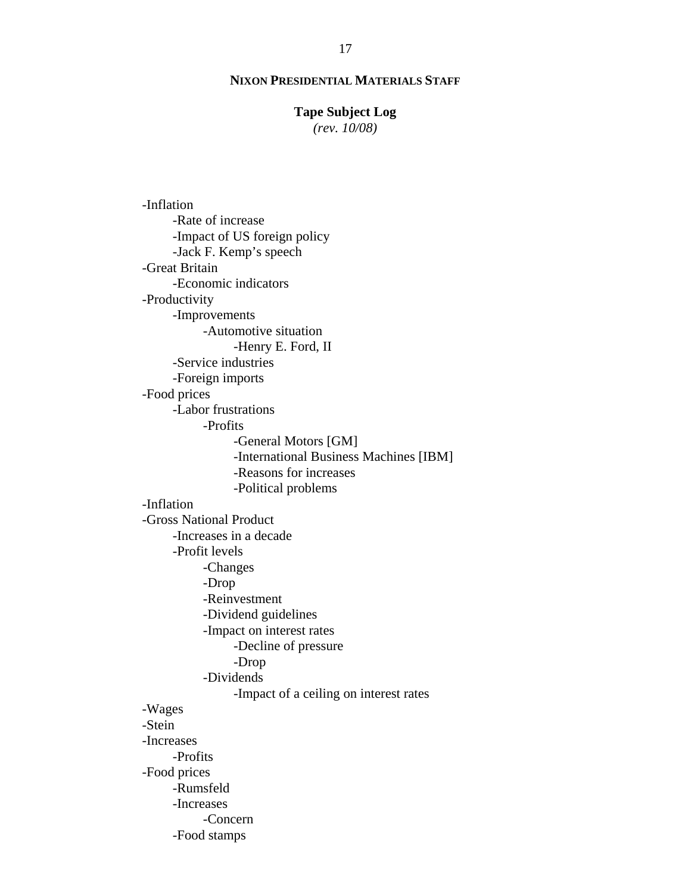# **Tape Subject Log**

*(rev. 10/08)*

 -Inflation -Rate of increase -Impact of US foreign policy -Jack F. Kemp's speech -Great Britain -Economic indicators -Productivity -Improvements -Automotive situation -Henry E. Ford, II -Service industries -Foreign imports -Food prices -Labor frustrations -Profits -General Motors [GM] -International Business Machines [IBM] -Reasons for increases -Political problems -Inflation -Gross National Product -Increases in a decade -Profit levels -Changes -Drop -Reinvestment -Dividend guidelines -Impact on interest rates -Decline of pressure -Drop -Dividends -Impact of a ceiling on interest rates -Wages -Stein -Increases -Profits -Food prices -Rumsfeld -Increases -Concern -Food stamps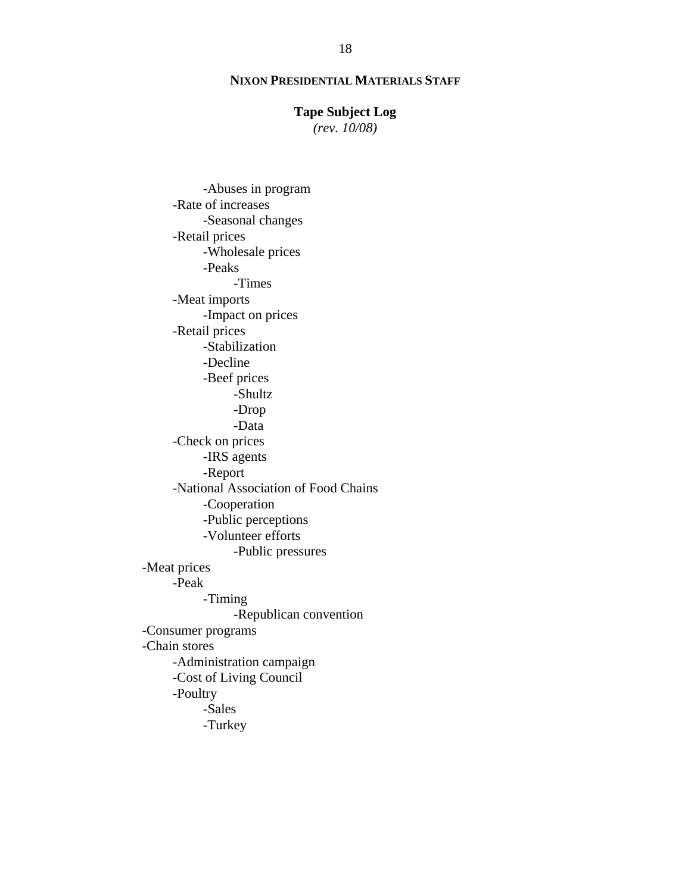# **Tape Subject Log**

*(rev. 10/08)*

 -Abuses in program -Rate of increases -Seasonal changes -Retail prices -Wholesale prices -Peaks -Times -Meat imports -Impact on prices -Retail prices -Stabilization -Decline -Beef prices -Shultz -Drop -Data -Check on prices -IRS agents -Report -National Association of Food Chains -Cooperation -Public perceptions -Volunteer efforts -Public pressures -Meat prices -Peak -Timing -Republican convention -Consumer programs -Chain stores -Administration campaign -Cost of Living Council -Poultry -Sales -Turkey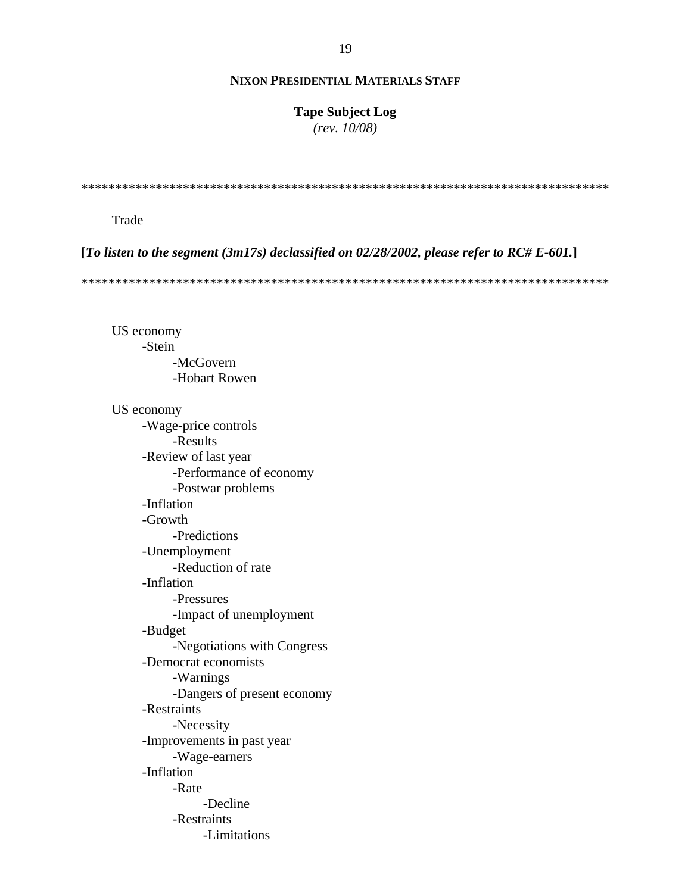# **Tape Subject Log**

 $(rev. 10/08)$ 

# Trade

[To listen to the segment (3m17s) declassified on 02/28/2002, please refer to  $RC#E-601$ .]

US economy -Stein -McGovern -Hobart Rowen

US economy -Wage-price controls -Results -Review of last year -Performance of economy -Postwar problems -Inflation -Growth -Predictions -Unemployment -Reduction of rate -Inflation -Pressures -Impact of unemployment -Budget -Negotiations with Congress -Democrat economists -Warnings -Dangers of present economy -Restraints -Necessity -Improvements in past year -Wage-earners -Inflation -Rate -Decline -Restraints -Limitations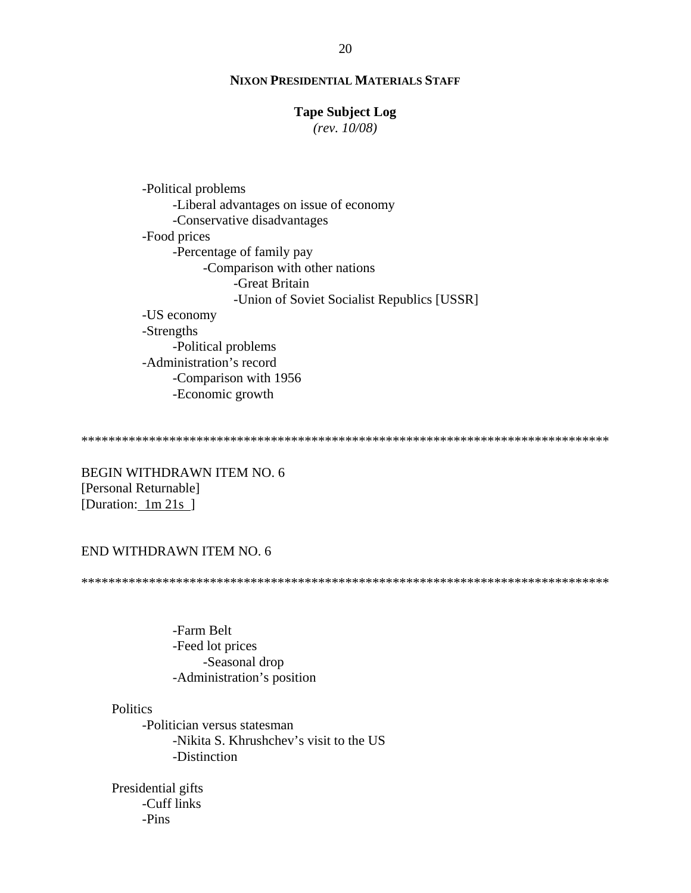# **Tape Subject Log**

 $(rev. 10/08)$ 

-Political problems -Liberal advantages on issue of economy -Conservative disadvantages -Food prices -Percentage of family pay -Comparison with other nations -Great Britain -Union of Soviet Socialist Republics [USSR] -US economy -Strengths -Political problems -Administration's record -Comparison with 1956 -Economic growth

**BEGIN WITHDRAWN ITEM NO. 6** [Personal Returnable] [Duration:  $1m 21s$ ]

### END WITHDRAWN ITEM NO. 6

-Farm Belt -Feed lot prices -Seasonal drop -Administration's position

### **Politics**

-Politician versus statesman -Nikita S. Khrushchev's visit to the US -Distinction

Presidential gifts -Cuff links  $-Pins$